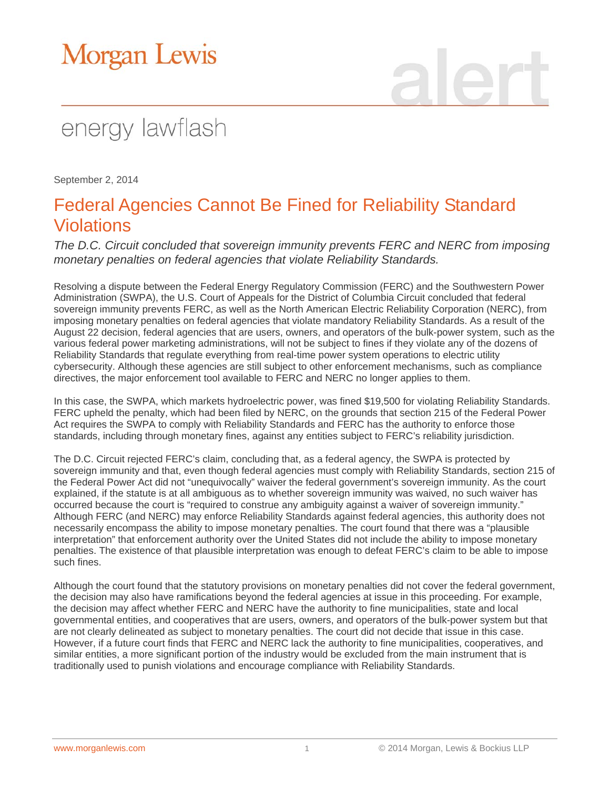# Morgan Lewis

## energy lawflash

September 2, 2014

### Federal Agencies Cannot Be Fined for Reliability Standard Violations

*The D.C. Circuit concluded that sovereign immunity prevents FERC and NERC from imposing monetary penalties on federal agencies that violate Reliability Standards.*

Resolving a dispute between the Federal Energy Regulatory Commission (FERC) and the Southwestern Power Administration (SWPA), the U.S. Court of Appeals for the District of Columbia Circuit concluded that federal sovereign immunity prevents FERC, as well as the North American Electric Reliability Corporation (NERC), from imposing monetary penalties on federal agencies that violate mandatory Reliability Standards. As a result of the August 22 decision, federal agencies that are users, owners, and operators of the bulk-power system, such as the various federal power marketing administrations, will not be subject to fines if they violate any of the dozens of Reliability Standards that regulate everything from real-time power system operations to electric utility cybersecurity. Although these agencies are still subject to other enforcement mechanisms, such as compliance directives, the major enforcement tool available to FERC and NERC no longer applies to them.

In this case, the SWPA, which markets hydroelectric power, was fined \$19,500 for violating Reliability Standards. FERC upheld the penalty, which had been filed by NERC, on the grounds that section 215 of the Federal Power Act requires the SWPA to comply with Reliability Standards and FERC has the authority to enforce those standards, including through monetary fines, against any entities subject to FERC's reliability jurisdiction.

The D.C. Circuit rejected FERC's claim, concluding that, as a federal agency, the SWPA is protected by sovereign immunity and that, even though federal agencies must comply with Reliability Standards, section 215 of the Federal Power Act did not "unequivocally" waiver the federal government's sovereign immunity. As the court explained, if the statute is at all ambiguous as to whether sovereign immunity was waived, no such waiver has occurred because the court is "required to construe any ambiguity against a waiver of sovereign immunity." Although FERC (and NERC) may enforce Reliability Standards against federal agencies, this authority does not necessarily encompass the ability to impose monetary penalties. The court found that there was a "plausible interpretation" that enforcement authority over the United States did not include the ability to impose monetary penalties. The existence of that plausible interpretation was enough to defeat FERC's claim to be able to impose such fines.

Although the court found that the statutory provisions on monetary penalties did not cover the federal government, the decision may also have ramifications beyond the federal agencies at issue in this proceeding. For example, the decision may affect whether FERC and NERC have the authority to fine municipalities, state and local governmental entities, and cooperatives that are users, owners, and operators of the bulk-power system but that are not clearly delineated as subject to monetary penalties. The court did not decide that issue in this case. However, if a future court finds that FERC and NERC lack the authority to fine municipalities, cooperatives, and similar entities, a more significant portion of the industry would be excluded from the main instrument that is traditionally used to punish violations and encourage compliance with Reliability Standards.